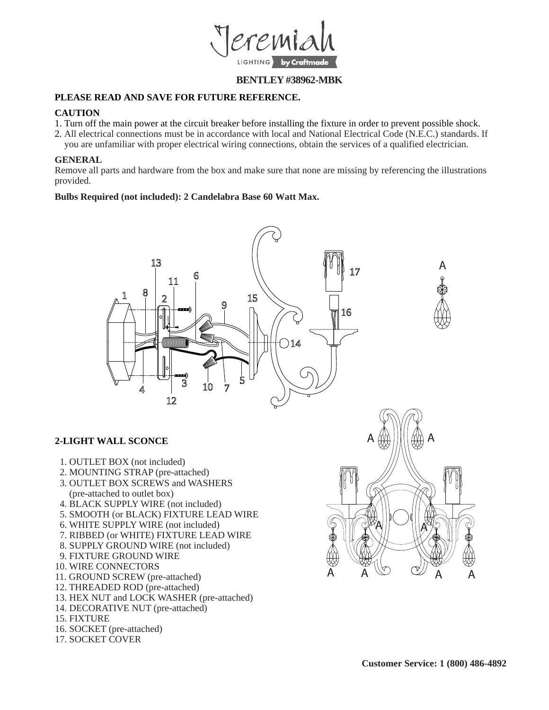

## **BENTLEY #38962-MBK**

## **PLEASE READ AND SAVE FOR FUTURE REFERENCE.**

## **CAUTION**

- 1. Turn off the main power at the circuit breaker before installing the fixture in order to prevent possible shock.
- 2. All electrical connections must be in accordance with local and National Electrical Code (N.E.C.) standards. If
- you are unfamiliar with proper electrical wiring connections, obtain the services of a qualified electrician.

## **GENERAL**

Remove all parts and hardware from the box and make sure that none are missing by referencing the illustrations provided.

### **Bulbs Required (not included): 2 Candelabra Base 60 Watt Max.**





# **2-LIGHT WALL SCONCE**

- 1. OUTLET BOX (not included)
- 2. MOUNTING STRAP (pre-attached)
- 3. OUTLET BOX SCREWS and WASHERS (pre-attached to outlet box)
- 4. BLACK SUPPLY WIRE (not included)
- 5. SMOOTH (or BLACK) FIXTURE LEAD WIRE
- 6. WHITE SUPPLY WIRE (not included)
- 7. RIBBED (or WHITE) FIXTURE LEAD WIRE
- 8. SUPPLY GROUND WIRE (not included)
- 9. FIXTURE GROUND WIRE
- 10. WIRE CONNECTORS
- 11. GROUND SCREW (pre-attached)
- 12. THREADED ROD (pre-attached)
- 13. HEX NUT and LOCK WASHER (pre-attached)
- 14. DECORATIVE NUT (pre-attached)
- 15. FIXTURE
- 16. SOCKET (pre-attached)
- 17. SOCKET COVER